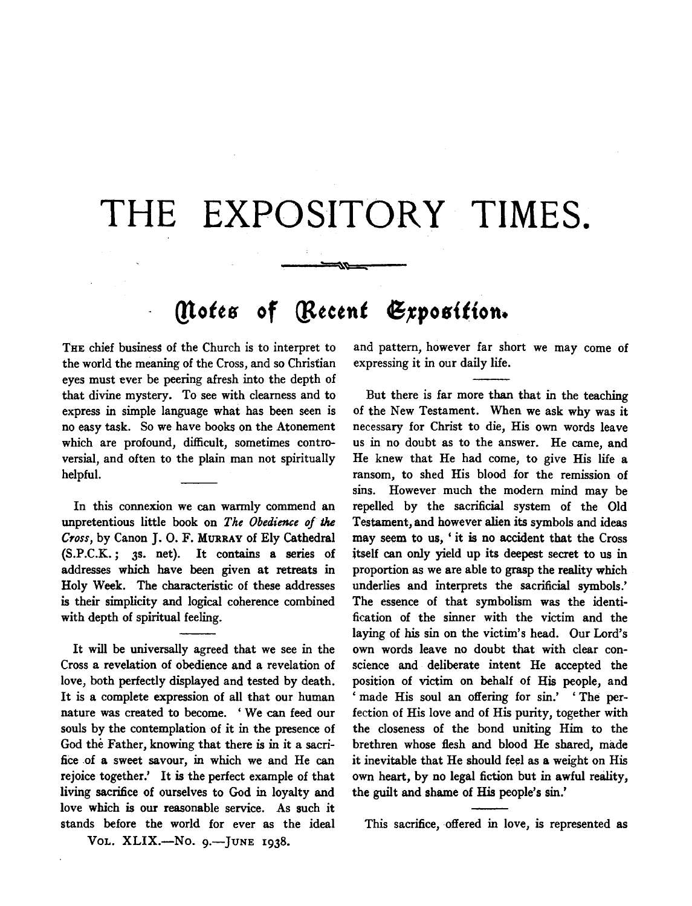## **THE EXPOSITORY TIMES.**

----~~~~==-----

## *(Notes of [Recent Exposition.*

THE chief business of the Church is to interpret to the world the meaning of the Cross, and so Christian eyes must ever be peering afresh into the depth of that divine mystery. To see with clearness and to express in simple language what has been seen is no easy task. So we have books on the Atonement which are profound, difficult, sometimes controversial, and often to the plain man not spiritually helpful.

In this connexion we can warmly commend an unpretentious little book on *The Obedience of* the *Cross,* by Canon J. 0. F. MuRRAY of Ely Cathedral (S.P.C.K.; JS. net). It contains a series of addresses which have been given at retreats in Holy Week. The characteristic of these addresses is their simplicity and logical coherence combined with depth of spiritual feeling.

It will be universally agreed that we see in the Cross a revelation of obedience and a revelation of love, both perfectly displayed and tested by death. It is a complete expression of all that our human nature was created to become. 'We can feed our souls by the contemplation of it in the presence of God the Father, knowing that there is in it a sacrifice of a sweet savour, in which we and He can rejoice together.' It is the perfect example of that living sacrifice of ourselves to God in loyalty and love which is our reasonable service. As such it stands before the world for ever as the ideal

VOL. XLIX.-No. 9.-JUNE 1938.

and pattern, however far short we may come of expressing it in our daily life.

But there is far more than that in the teaching of the New Testament. When we ask why was it necessary for Christ to die, His own words leave us in no doubt as to the answer. He came, and He knew that He had come, to give His life a ransom, to shed His blood for the remission of sins. However much the modern mind may be repelled by the sacrificial system of the Old Testament, and however alien its symbols and ideas may seem to us, ' it is no accident that the Cross itself can only yield up its deepest secret to us in proportion as we are able to grasp the reality which underlies and interprets the sacrificial symbols.' The essence of that symbolism was the identification of the sinner with the victim and the laying of his sin on the victim's head. Our Lord's own words leave no doubt that with clear conscience and deliberate intent He accepted the position of victim on behalf of His people, and ' made His soul an offering for sin.' ' The perfection of His love and of His purity, together with the closeness of the bond uniting Him to the brethren whose flesh and blood He shared, made it inevitable that He should feel as a weight on His own heart, by no legal fiction but in awful reality, the guilt and shame of His people's sin.'

This sacrifice, offered in love, is represented as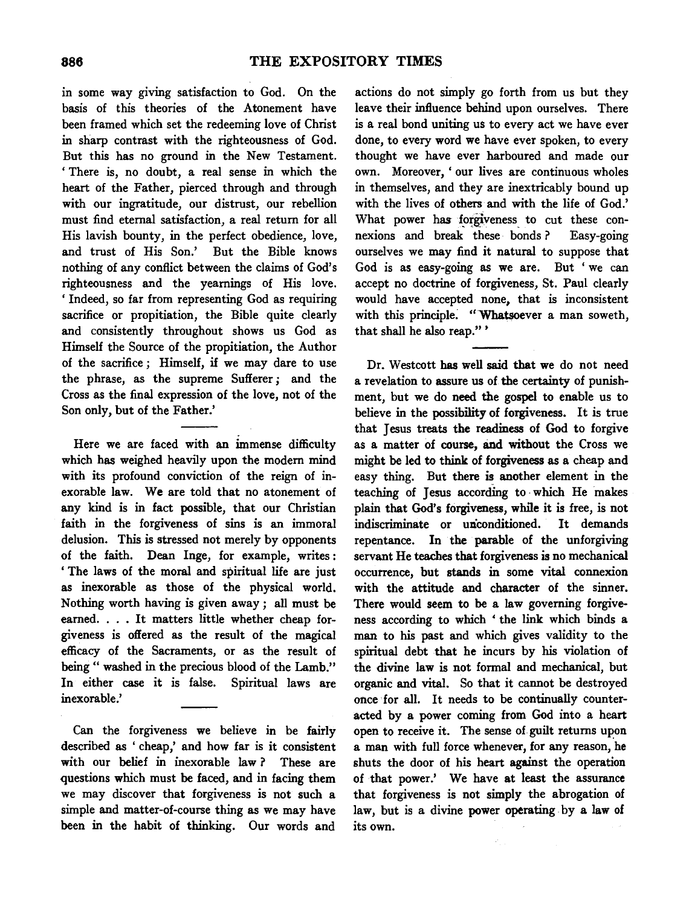in some way giving satisfaction to God. On the basis of this theories of the Atonement have been framed which set the redeeming love of Christ in sharp contrast with the righteousness of God. But this has no ground in the New Testament. ' There is, no doubt, a real sense in which the heart of the Father, pierced through and through with our ingratitude, our distrust, our rebellion must find eternal satisfaction, a real return for all His lavish bounty, in the perfect obedience, love, and trust of His Son.' But the Bible knows nothing of any conflict between the claims of God's righteousness and the yeamings of His love. 'Indeed, so far from representing God as requiring sacrifice or propitiation, the Bible quite clearly and consistently throughout shows us God as Himself the Source of the propitiation, the Author of the sacrifice; Himself, if we may dare to use the phrase, as the supreme Sufferer ; and the Cross as the final expression of the love, not of the Son only, but of the Father.'

Here we are faced with an immense difficulty which has weighed heavily upon the modem mind with its profound conviction of the reign of inexorable law. We are told that no atonement of any kind is in fact possible, that our Christian faith in the forgiveness of sins is an immoral delusion. This is stressed not merely by opponents of the faith. Dean Inge, for example, writes : ' The laws of the moral and spiritual life are just as inexorable as those of the physical world. Nothing worth having is given away; all must be earned. . . . It matters little whether cheap forgiveness is offered as the result of the magical efficacy of the Sacraments, or as the result of being " washed in the precious blood of the Lamb.'' In either case it is false. Spiritual laws are inexorable.'

Can the forgiveness we believe in be fairly described as ' cheap,' and how far is it consistent with our belief in inexorable law ? These are questions which must be faced, and in facing them we may discover that forgiveness is not such a simple and matter-of-course thing as we may have been in the habit of thinking. Our words and

actions do not simply go forth from us but they leave their influence behind upon ourselves. There is a real bond uniting us to every act we have ever done, to every word we have ever spoken, to every thought we have ever harboured and made our own. Moreover, ' our lives are continuous wholes in themselves, and they are inextricably bound up with the lives of others and with the life of God.' What power has forgiveness to cut these connexions and break these bonds ? Easy-going ourselves we may find it natural to suppose that God is as easy-going as we are. But ' we can accept no doctrine of forgiveness, St. Paul clearly would have accepted none, that is inconsistent with this principle. "Whatsoever a man soweth, that shall he also reap.'' '

Dr. Westcott has well said that we do not need a revelation to assure us of the certainty of punishment, but we do need the gospel to enable us to believe in the possibility of forgiveness. It is true that Jesus treats the readiness of God to forgive as a matter of course, and without the Cross we might be led to think of forgiveness as a cheap and easy thing. But there is another element in the teaching of Jesus according to which He makes plain that God's forgiveness, while it is free, is not indiscriminate or miconditioned. It demands repentance. In the parable of the unforgiving servant He teaches that forgiveness is no mechanical occurrence, but stands in some vital connexion with the attitude and character of the sinner. There would seem to be a law governing forgiveness according to which ' the link which binds a man to his past and which gives validity to the spiritual debt that he incurs by his violation of the divine law is not formal and mechanical, but organic and vital. So that it cannot be destroyed once for all. It needs to be continually counteracted by a power coming from God into a heart open to receive it. The sense of guilt returns upon a man with full force whenever, for any reason, he shuts the door of his heart against the operation of that power.' We have at least the assurance that forgiveness is not simply the abrogation of law, but is a divine power operating. by a law of its own.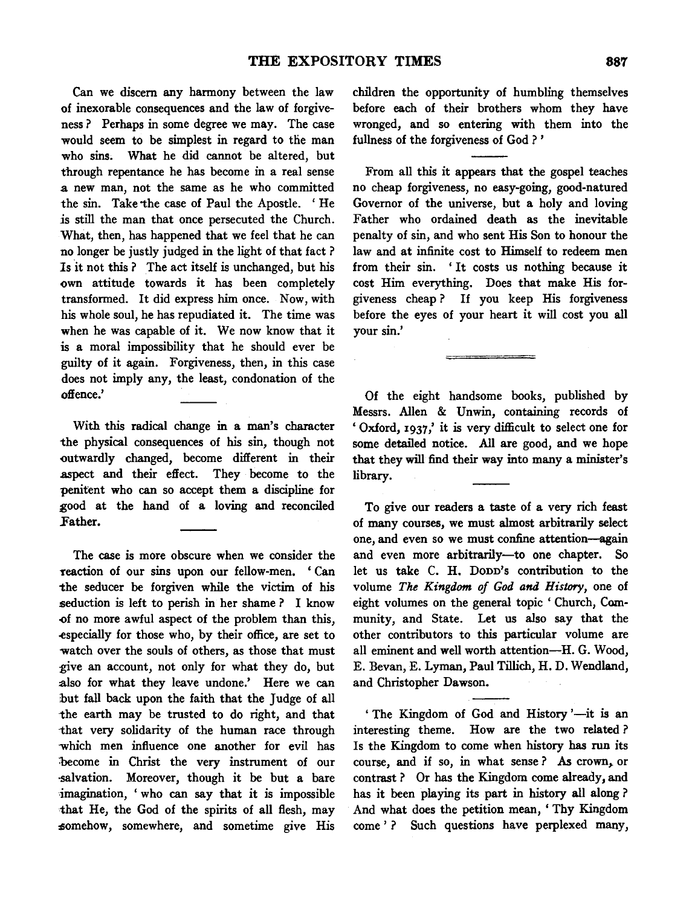Can we discern any harmony between the law of inexorable consequences and the law of forgiveness? Perhaps in some degree we may. The case would seem to be simplest in regard to the man who sins. What he did cannot be altered, but through repentance he has become in a real sense a new man, not the same as he who committed the sin. Take the case of Paul the Apostle. 'He is still the man that once persecuted the Church. What, then, has happened that we feel that he can no longer be justly judged in the light of that fact ? Is it not this ? The act itself is unchanged, but his own attitude towards it has been completely transformed. It did express him once. Now, with his whole soul, he has repudiated it. The time was when he was capable of it. We now know that it is a moral impossibility that he should ever be guilty of it again. Forgiveness, then, in this case does not imply any, the least, condonation of the offence.'

With this radical change in a man's character the physical consequences of his sin, though not outwardly changed, become different in their aspect and their effect. They become to the penitent who can so accept them a discipline for good at the hand of a loving and reconciled Father.

The case is more obscure when we consider the reaction of our sins upon our fellow-men. ' Can the seducer be forgiven while the victim of his seduction is left to perish in her shame ? I know -of no more awful aspect of the problem than this, .especially for those who, by their office, are set to watch over the souls of others, as those that must give an account, not only for what they do, but also for what they leave undone.' Here we can but fall back upon the faith that the Judge of all ·the earth may be trusted to do right, and that -that very solidarity of the human race through which men influence one another for evil has become in Christ the very instrument of our -salvation. Moreover, though it be but a bare -imagination, 'who can say that it is impossible that He, the God of the spirits of all flesh, may somehow, somewhere, and sometime give His

children the opportunity of humbling themselves before each of their brothers whom they have wronged, and so entering with them into the fullness of the forgiveness of God ? '

From all this it appears that the gospel teaches no cheap forgiveness, no easy-going, good-natured Governor of the universe, but a holy and loving Father who ordained death as the inevitable penalty of sin, and who sent His Son to honour the law and at infinite cost to Himself to redeem men from their sin. 'It costs us nothing because it cost Him everything. Does that make His forgiveness cheap ? If you keep His forgiveness before the eyes of your heart it will cost you all your sin.'

Of the eight handsome books, published by Messrs. Alien & Unwin, containing records of ' Oxford, 1937 ,' it is very difficult to select one for some detailed notice. All are good, and we hope that they will find their way into many a minister's library.

To give our readers a taste of a very rich feast of many courses, we must almost arbitrarily select one, and even so we must confine attention--again and even more arbitrarily-to one chapter. So let us take C. H. Dopp's contribution to the volume *The Kingdom of God and History,* one of eight volumes on the general topic ' Church, Community, and State. Let us also say that the other contributors to this particular volume are all eminent and well worth attention-H. G. Wood, E. Bevan, E. Lyman, Paul Tillich, H. D. Wendland, and Christopher Dawson.

' The Kingdom of God and History '-it is an interesting theme. How are the two related ? Is the Kingdom to come when history has run its course, and if so, in what sense? As crown, or contrast? Or has the Kingdom come already, and has it been playing its part in history all along ? And what does the petition mean, ' Thy Kingdom come' ? Such questions have perplexed many,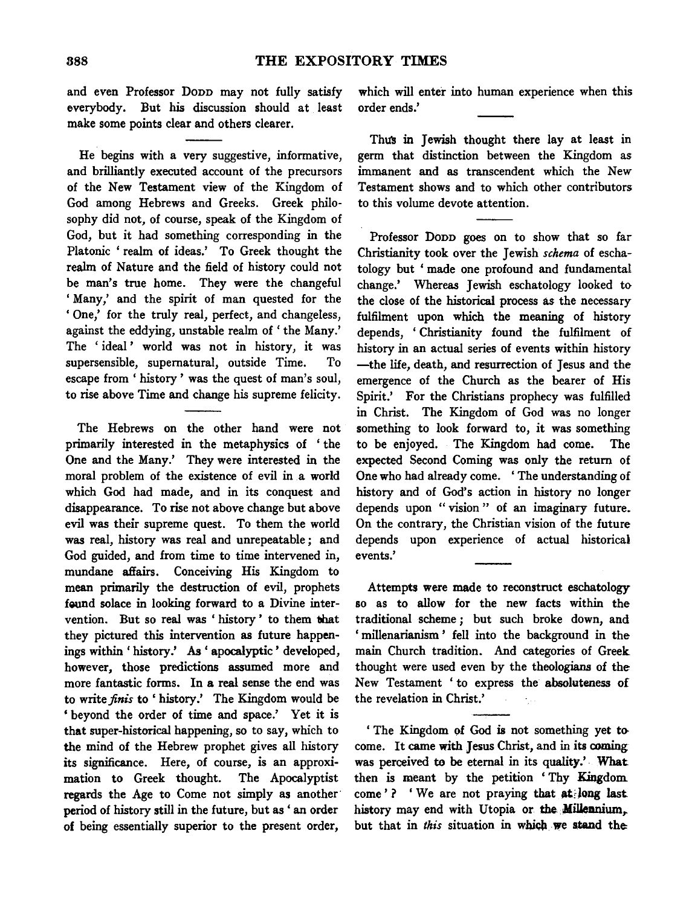and even Professor Dopp may not fully satisfy everybody. But his discussion should at least make some points clear and others clearer.

He begins with a very suggestive, informative, and brilliantly executed account of the precursors of the New Testament view of the Kingdom of God among Hebrews and Greeks. Greek philosophy did not, of course, speak of the Kingdom of God, but it had something corresponding in the Platonic ' realm of ideas.' To Greek thought the realm of Nature and the field of history could not be man's true home. They were the changeful ' Many,' and the spirit of man quested for the 'One,' for the truly real, perfect, and changeless, against the eddying, unstable realm of' the Many.' The 'ideal' world was not in history, it was supersensible, supernatural, outside Time. To escape from' history' was the quest of man's soul, to rise above Time and change his supreme felicity.

The Hebrews on the other hand were not primarily interested in the metaphysics of ' the One and the Many.' They were interested in the moral problem of the existence of evil in a world which God had made, and in its conquest and disappearance. To rise not above change but above evil was their supreme quest. To them the world was real, history was real and unrepeatable; and God guided, and from time to time intervened in, mundane affairs. Conceiving His Kingdom to mean primarily the destruction of evil, prophets found solace in looking forward to a Divine intervention. But so real was 'history' to them that they pictured this intervention as future happenings within ' history.' As ' apocalyptic ' developed, however, those predictions assumed more and more fantastic forms. In a real sense the end was to write *finis* to' history.' The Kingdom would be ' beyond the order of time and space.' Yet it is that super-historical happening, so to say, which to the mind of the Hebrew prophet gives all history its significance. Here, of course, is an approximation to Greek thought. The Apocalyptist regards the Age to Come not simply as another· period of history still in the future, but as ' an order of being essentially superior to the present order,

which will enter into human experience when this order ends.'

Thus in Jewish thought there lay at least in germ that distinction between the Kingdom as immanent and as transcendent which the New Testament shows and to which other contributors to this volume devote attention.

Professor Donn goes on to show that so far Christianity took over the Jewish *schema* of eschatology but ' made one profound and fundamental change.' Whereas Jewish eschatology looked to the close of the historical process as the necessary fulfilment upon which the meaning of history depends, 'Christianity found the fulfilment of history in an actual series of events within history -the life, death, and resurrection of Jesus and the emergence of the Church as the bearer of His Spirit.' For the Christians prophecy was fulfilled in Christ. The Kingdom of God was no longer something to look forward to, it was something to be enjoyed. The Kingdom had come. The expected Second Coming was only the return of One who had already come. ' The understanding of history and of God's action in history no longer depends upon " vision " of an imaginary future. On the contrary, the Christian vision of the future depends upon experience of actual historical events.'

Attempts were made to reconstruct eschatology so as to allow for the new facts within the traditional scheme *;* but such broke down, and ' millenarianism ' fell into the background in the main Church tradition. And categories of Greek thought were used even by the theologians of the New Testament 'to express the absoluteness of the revelation in Christ.'

' The Kingdom of God is not something yet to come. It came with Jesus Christ, and in its coming was perceived to be eternal in its quality.' What then is meant by the petition 'Thy Kingdom come'? 'We are not praying that at long last history may end with Utopia or the Millennium, but that in *this* situation in which we stand the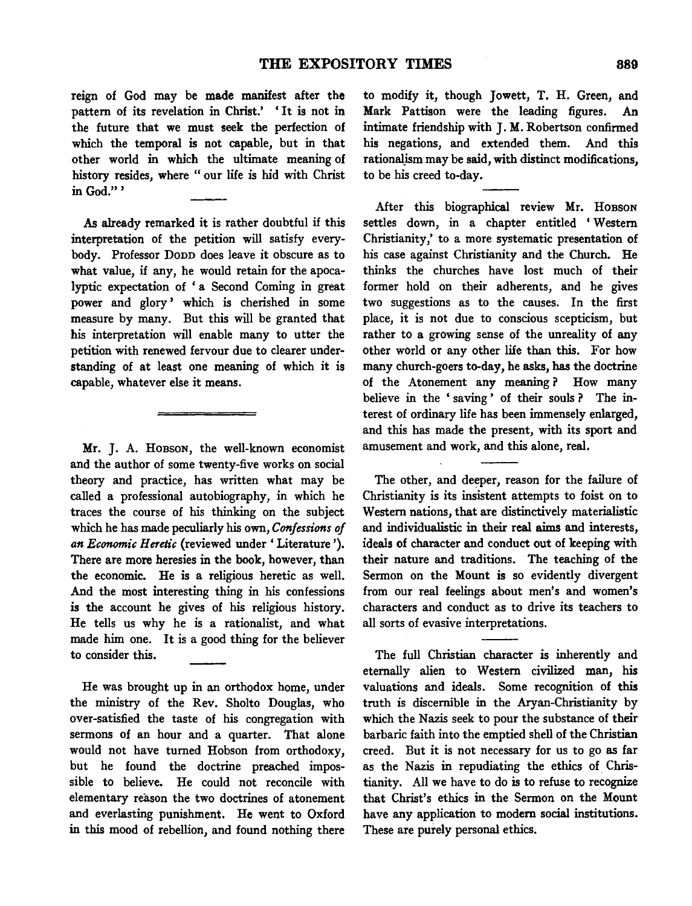reign of God may be made manifest after the pattern of its revelation in Christ.' 'It is not in the future that we must seek the perfection of which the temporal is not capable, but in that other world in which the ultimate meaning of history resides, where " our life is hid with Christ in God."'

As already remarked it is rather doubtful if this interpretation of the petition will satisfy everybody. Professor Donn does leave it obscure as to what value, if any, he would retain for the apocalyptic expectation of ' a Second Coming in great power and glory' which is cherished in some measure by many. But this will be granted that his interpretation will enable many to utter the petition with renewed fervour due to clearer understanding of at least one meaning of which it is capable, whatever else it means.

Mr. J. A. HOBSON, the well-known economist and the author of some twenty-five works on social theory and practice, has written what may be called a professional autobiography, in which he traces the course of his thinking on the subject which he has made peculiarly his own, *Confessions of an Economic Heretic* (reviewed under' Literature'). There are more heresies in the book, however, than the economic. He is a religious heretic as well. And the most interesting thing in his confessions is the account he gives of his religious history. He tells us why he is a rationalist, and what made him one. It is a good thing for the believer to consider this.

He was brought up in an orthodox home, under the ministry of the Rev. Sholto Douglas, who over-satisfied the taste of his congregation with sermons of an hour and a quarter. That alone would not have turned Hobson from orthodoxy, but he found the doctrine preached impossible to believe. He could not reconcile with elementary reason the two doctrines of atonement and everlasting punishment. He went to Oxford in this mood of rebellion, and found nothing there to modify it, though Jowett, T. H. Green, and Mark Pattison were the leading figures. An intimate friendship with J. M. Robertson confirmed his negations, and extended them. And this rationalism may be said, with distinct modifications, to be his creed to-day.

After this biographical review Mr. HOBSON settles down, in a chapter entitled 'Western Christianity,' to a more systematic presentation of his case against Christianity and the Church. He thinks the churches have lost much of their former hold on their adherents, and he gives two suggestions as to the causes. In the first place, it is not due to conscious scepticism, but rather to a growing sense of the unreality of any other world or any other life than this. For how many church-goers to-day, he asks, has the doctrine of the Atonement any meaning ? How many believe in the ' saving ' of their souls ? The interest of ordinary life has been immensely enlarged, and this has made the present, with its sport and amusement and work, and this alone, real.

The other, and deeper, reason for the failure of Christianity is its insistent attempts to foist on to Western nations, that are distinctively materialistic and individualistic in their real aims and interests, ideals of character and conduct out of keeping with their nature and traditions. The teaching of the Sermon on the Mount is so evidently divergent from our real feelings about men's and women's characters and conduct as to drive its teachers to all sorts of evasive interpretations.

The full Christian character is inherently and eternally alien to Western civilized man, his valuations and ideals. Some recognition of this truth is discernible in the Aryan-Christianity by which the Nazis seek to pour the substance of their barbaric faith into the emptied shell of the Christian creed. But it is not necessary for us to go as far as the Nazis in repudiating the ethics of Christianity. All we have to do is to refuse to recognize that Christ's ethics in the Sermon on the Mount have any application to modem social institutions. These are purely personal ethics.